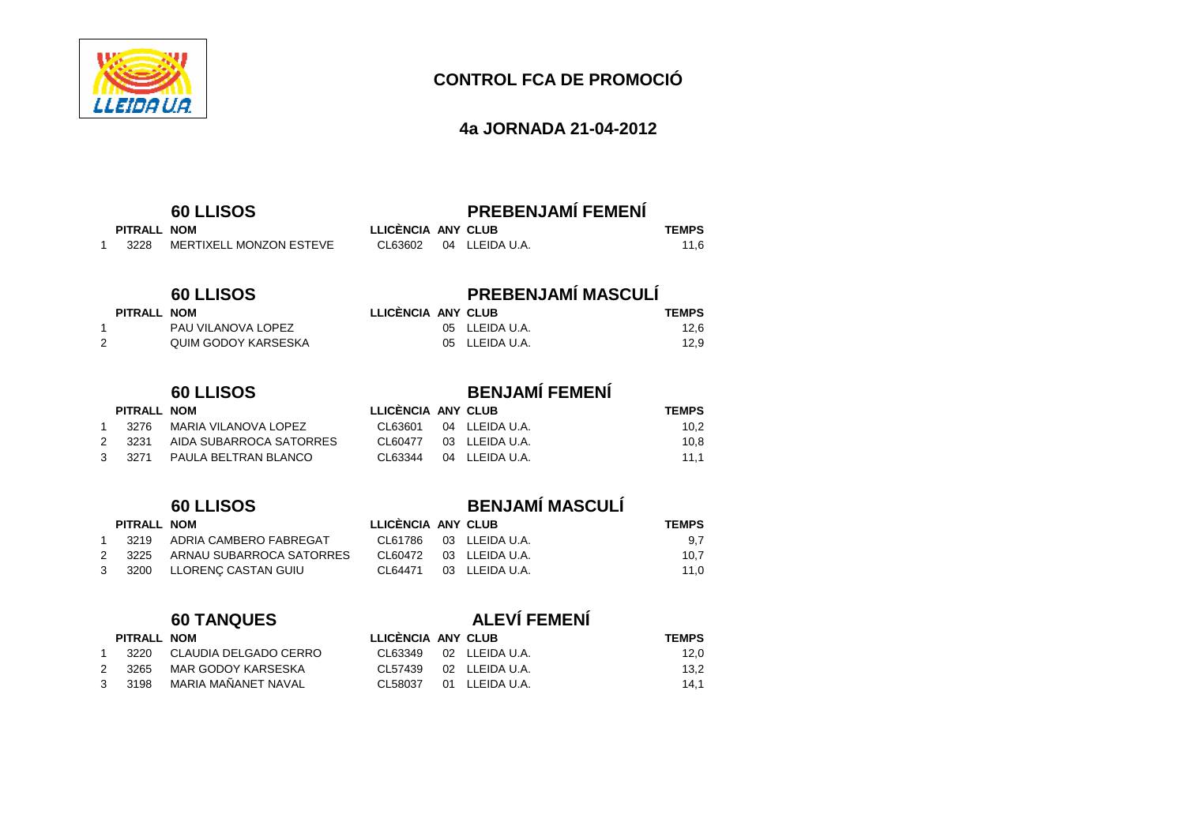

### **4a JORNADA 21-04-2012**

# **60 LLISOS PREBENJAMÍ FEMENÍ**

| PITRALL NOM |                         | LLICÈNCIA ANY CLUB |                        | <b>TEMPS</b> |  |
|-------------|-------------------------|--------------------|------------------------|--------------|--|
| 3228        | MERTIXELL MONZON ESTEVE |                    | CL63602 04 LLEIDA U.A. | 11.6         |  |

## **60 LLISOS PREBENJAMÍ MASCULÍ**

05 LLEIDA U.A. 12,6

 $12,9$ 

| PITRALL NOM | LLICENCIA ANY CLUB | <b>TEMPS</b> |
|-------------|--------------------|--------------|
|-------------|--------------------|--------------|

 $PITRALL$  **NOM** 

| PAU VILANOVA LOPEZ  | 05 LLEIDA U.A. |
|---------------------|----------------|
| QUIM GODOY KARSESKA | 05 LLEIDA U.A. |

1 3276 MARIA VILANOVA LOPEZ 2 3231 AIDA SUBARROCA SATORRES 3 3271 PAULA BELTRAN BLANCO

# **60 LLISOS BENJAMÍ FEMENÍ**

| LLICENCIA ANY CLUB |                              | <b>TEMPS</b> |
|--------------------|------------------------------|--------------|
|                    | CL63601 04 LLEIDAU.A.        | 10.2         |
|                    | CL60477 03 LLEIDA U.A.       | 10.8         |
|                    | $CL63344$ $04$ $LLEIDA U.A.$ | 11.1         |

### **CLUBBE <b>RITRALL NOM** 1 3219 ADRIA CAMBERO FABREGAT 2 3225 ARNAU SUBARROCA SATORRES 3 3200 LLORENÇ CASTAN GUIU

| <b>TRALL</b> | NOM |  |
|--------------|-----|--|

| $\overline{1}$ | 3220  | CLAUDIA DELGADO CERR |
|----------------|-------|----------------------|
| $\mathcal{P}$  | 3265. | MAR GODOY KARSESKA   |
| 3              | 3198  | MARIA MAÑANFT NAVAI  |

# **60 LLISOS BENJAMÍ MASCULÍ**

|  | <b>TEMPS</b>                                                                                     |
|--|--------------------------------------------------------------------------------------------------|
|  | 9.7                                                                                              |
|  | 10.7                                                                                             |
|  | 11.0                                                                                             |
|  | LLICENCIA ANY CLUB<br>CL61786 03 LLEIDA U.A.<br>CL60472 03 LLEIDA U.A.<br>CL64471 03 LLEIDA U.A. |

# **60 TANQUES ALEVÍ FEMENÍ**

|   | PITRALL NOM |                       | LLICENCIA ANY CLUB |                | <b>TEMPS</b> |  |
|---|-------------|-----------------------|--------------------|----------------|--------------|--|
|   | 3220        | CLAUDIA DELGADO CERRO | CL63349            | 02 LLEIDA U.A. | 12.0         |  |
| 2 | 3265        | MAR GODOY KARSESKA    | CL 57439           | 02 LLEIDA U.A. | 13.2         |  |
|   | 3 3198      | MARIA MAÑANET NAVAL   | CL58037            | 01 LLEIDA U.A. | 14.1         |  |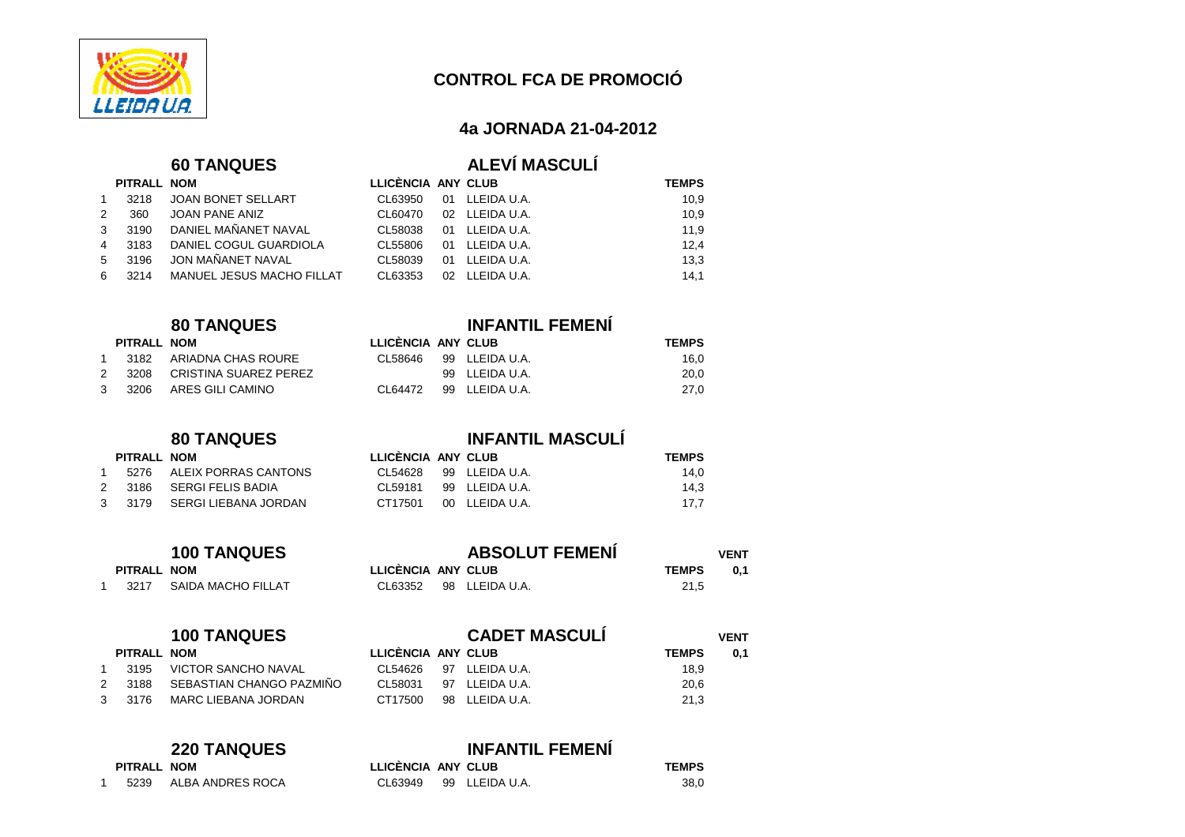

### **4a JORNADA 21-04-2012**

20.0

27,0

 $0,1$ 

### $60$  TANQUES

| <b>ALEVI MASCULI</b> |  |  |
|----------------------|--|--|

|                | PITRALL NOM |                           | LLICÈNCIA ANY CLUB |                | <b>TEMPS</b> |
|----------------|-------------|---------------------------|--------------------|----------------|--------------|
| $\mathbf{1}$   | 3218        | JOAN BONET SELLART        | CL63950            | 01 LLEIDA U.A. | 10,9         |
| 2              | 360         | JOAN PANE ANIZ            | CL60470            | 02 LLEIDA U.A. | 10,9         |
| 3 <sup>1</sup> | 3190        | DANIEL MAÑANET NAVAL      | CL58038            | 01 LLEIDA U.A. | 11,9         |
|                | 4 3183      | DANIEL COGUL GUARDIOLA    | CL55806            | 01 LLEIDA U.A. | 12,4         |
| $5 -$          | 3196        | JON MAÑANET NAVAL         | CL58039            | 01 LLEIDA U.A. | 13,3         |
| 6              | 3214        | MANUEL JESUS MACHO FILLAT | CL63353            | 02 LLEIDA U.A. | 14.1         |

## **80 TANQUES INFANTIL FEMENÍ**

| PITRALL | NOM                | LLICENCIA ANY CLUB |                | <b>TEMPS</b> |
|---------|--------------------|--------------------|----------------|--------------|
| 3182    | ARIADNA CHAS ROURE | CL58646            | 99 LLEIDA U.A. | 16.0         |

### 2 3208 CRISTINA SUAREZ PEREZ 2008 PLEIDA U.A. 3 3206 ARES GILI CAMINO CL64472 99 LLEIDA U.A.

1 5276 ALEIX PORRAS CANTONS 2 3186 SERGI FELIS BADIA 3 3179 SERGI LIEBANA JORDAN

# **80 TANQUES**<br>**ELICÈNCIA ANY CLUB**<br>**PITRALL NOM**

**PITRALL NOM LLICÈNCIA ANY CLUB TEMPS** 

| PITRALL NOM |                           | LLICENCIA ANY CLUB |                       | <b>TEMPS</b> |  |
|-------------|---------------------------|--------------------|-----------------------|--------------|--|
|             | 5276 ALEIX PORRAS CANTONS |                    | CL54628 99 LLEIDAU.A. | 14.0         |  |
|             | 3186 SERGI FELIS BADIA    |                    | CL59181 99 LLEIDAU.A. | 14.3         |  |
|             | 3179 SERGI LIEBANA JORDAN | CT17501            | 00 LLEIDA U.A.        | 17.7         |  |

|             | <b>100 TANQUES</b> |                 |  |
|-------------|--------------------|-----------------|--|
| PITRALL NOM |                    | LLICÈNCIA ANY C |  |

| <b>100 TANQUES</b> |             |                         | <b>ABSOLUT FEMENI</b> |  |                |              |     |
|--------------------|-------------|-------------------------|-----------------------|--|----------------|--------------|-----|
|                    | PITRALL NOM |                         | LLICÈNCIA ANY CLUB    |  |                | <b>TEMPS</b> | 0.1 |
|                    |             | 3217 SAIDA MACHO FILLAT | CL63352               |  | 98 LLEIDA U.A. | 21.5         |     |

|   |             | <b>100 TANQUES</b>       |                    | <b>CADET MASCULI</b> | <b>VENT</b>  |     |  |
|---|-------------|--------------------------|--------------------|----------------------|--------------|-----|--|
|   | PITRALL NOM |                          | LLICÈNCIA ANY CLUB |                      | <b>TEMPS</b> | 0.1 |  |
|   | 3195        | VICTOR SANCHO NAVAL      | CL 54626           | 97 LLEIDA U.A.       | 18,9         |     |  |
| 2 | 3188        | SEBASTIAN CHANGO PAZMIÑO | CI 58031           | 97 LLEIDA U.A.       | 20,6         |     |  |
| 3 | 3176        | MARC LIEBANA JORDAN      | CT17500            | 98 LLEIDA U.A.       | 21,3         |     |  |

### **220 TANQUES INFANTIL FEMENÍ**

1 5239 ALBA ANDRES ROCA

| PITRALL NOM |                       | LLICÈNCIA ANY CLUB |                        | <b>TEMPS</b> |  |
|-------------|-----------------------|--------------------|------------------------|--------------|--|
|             | 5239 ALBA ANDRES ROCA |                    | CL63949 99 LLEIDA U.A. | 38,0         |  |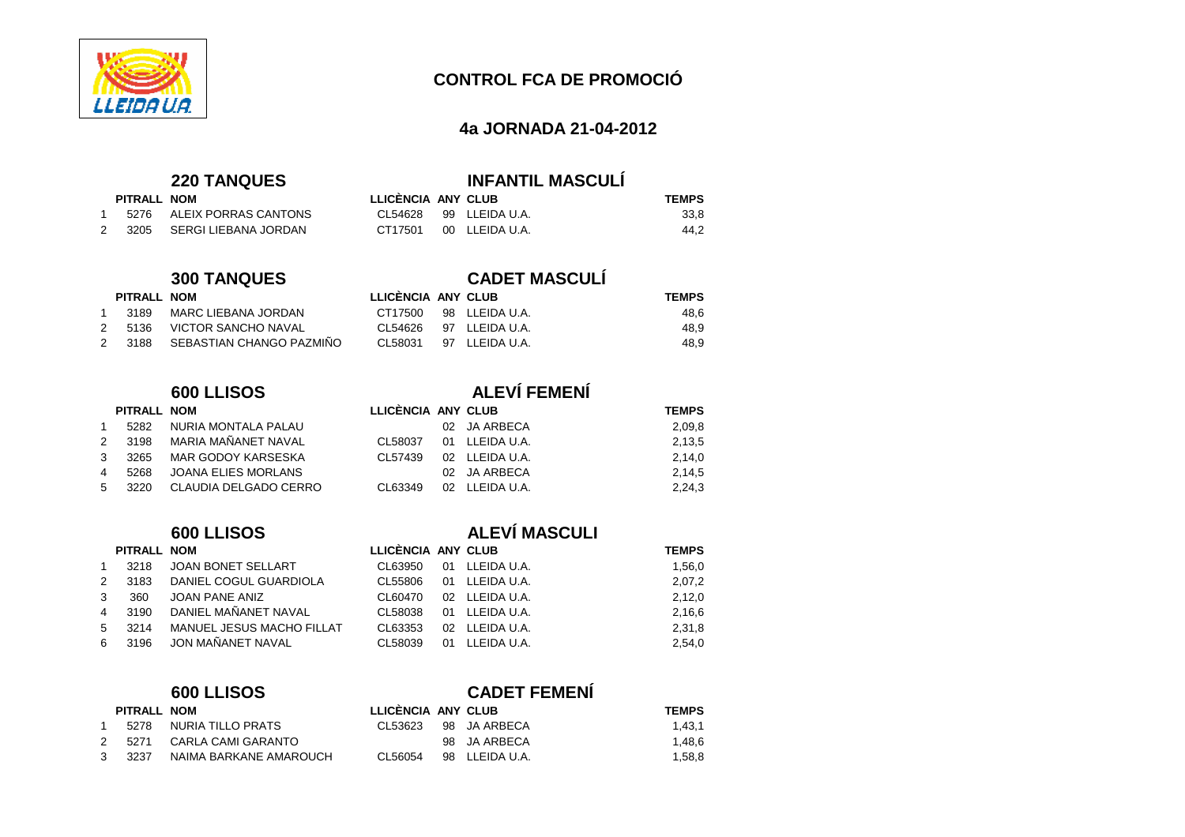

### **4a JORNADA 21-04-2012**

1 5276 ALEIX PORRAS CANTONS 2 3205 SERGI LIEBANA JORDAN

# **220 TANQUES INFANTIL MASCULÍ**

| PITRALL NOM |                      | LLICENCIA ANY CLUB |                | <b>TEMPS</b> |
|-------------|----------------------|--------------------|----------------|--------------|
| 5276        | ALEIX PORRAS CANTONS | CL54628            | 99 LLEIDA U.A. | 33.8         |
| 3205        | SERGI LIEBANA JORDAN | CT17501            | 00 LLEIDA U.A. | 44.2         |

# **300 TANQUES CADET MASCULÍ**

### **PITRALL NOM LLICÈNCIA ANY CLUB TEMPS**  1 3189 MARC LIEBANA JORDAN 2 5136 VICTOR SANCHO NAVAL 2 3188 SEBASTIAN CHANGO PAZMIÑO

|   | PITRALL NOM |                            |
|---|-------------|----------------------------|
| 1 | 5282        | NURIA MONTALA PALAU        |
| 2 | 3198        | MARIA MAÑANET NAVAL        |
| 3 | 3265        | MAR GODOY KARSESKA         |
| 4 | 5268        | <b>JOANA ELIES MORLANS</b> |
| 5 | 3220        | CLAUDIA DELGADO CERRO      |

### $PITRALL$  **NOM** 1 3218 JOAN BONET SELLART 2 3183 DANIEL COGUL GUARDIOLA 3 360 JOAN PANE ANIZ 4 3190 DANIEL MAÑANET NAVAL 5 3214 MANUEL JESUS MACHO FILLAT 6 3196 JON MAÑANET NAVAL

### **600 LLISOS CADET FEMENÍ**

| PITRALL NOM |                        | LLICÈNCIA ANY CLUB |                | <b>TEMPS</b> |  |
|-------------|------------------------|--------------------|----------------|--------------|--|
| 5278        | NURIA TILLO PRATS      | CL 53623           | 98 JA ARBECA   | 1.43.1       |  |
| 2 5271      | CARLA CAMI GARANTO     |                    | 98 JA ARBECA   | 1.48.6       |  |
| 3 3237      | NAIMA BARKANE AMAROUCH | CI 56054           | 98 LLEIDA U.A. | 1.58.8       |  |

|  | CT17500 98 LLEIDAU.A.  | 48.6 |
|--|------------------------|------|
|  | CL54626 97 LLEIDA U.A. | 48.9 |
|  | CL58031 97 LLEIDA U.A. | 48.9 |

# **600 LLISOS ALEVÍ FEMENÍ**

|              | PITRALL NOM |                       | LLICENCIA ANY CLUB |                | <b>TEMPS</b> |
|--------------|-------------|-----------------------|--------------------|----------------|--------------|
|              | 5282        | NURIA MONTALA PALAU   |                    | 02 JA ARBECA   | 2,09,8       |
| $\mathbf{2}$ | 3198        | MARIA MAÑANET NAVAL   | CL58037            | 01 LLEIDA U.A. | 2,13,5       |
| 3            | 3265        | MAR GODOY KARSESKA    | CL57439            | 02 LLEIDA U.A. | 2,14,0       |
| 4            | 5268        | JOANA ELIES MORLANS   |                    | 02 JA ARBECA   | 2,14,5       |
|              | 5 3220      | CLAUDIA DELGADO CERRO | CL63349            | 02 LLEIDA U.A. | 2,24,3       |

### **600 LLISOS ALEVÍ MASCULI**

| LLICÈNCIA ANY CLUB |                        | <b>TEMPS</b> |
|--------------------|------------------------|--------------|
| CL63950            | 01 LLEIDA U.A.         | 1.56.0       |
|                    | CL55806 01 LLEIDA U.A. | 2.07.2       |
|                    | CL60470 02 LLEIDA U.A. | 2.12.0       |
|                    | CL58038 01 LLEIDA U.A. | 2.16.6       |
| CL63353            | 02 LLEIDA U.A.         | 2.31.8       |
|                    | CL58039 01 LLEIDA U.A. | 2.54.0       |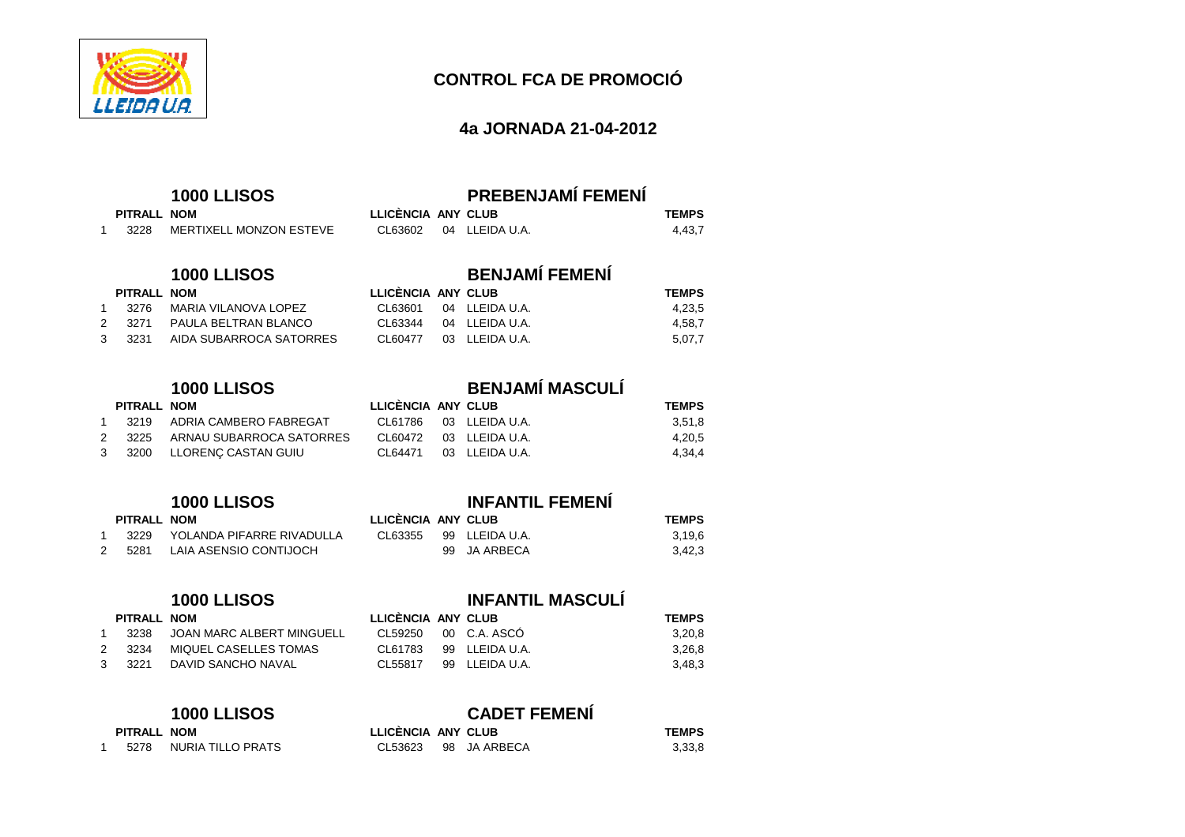

### **4a JORNADA 21-04-2012**

| <b>1000 LLISOS</b> |             |                         |                    | <b>PREBENJAMÍ FEMENÍ</b> |              |
|--------------------|-------------|-------------------------|--------------------|--------------------------|--------------|
|                    | PITRALL NOM |                         | LLICÈNCIA ANY CLUB |                          | <b>TEMPS</b> |
|                    | 3228        | MERTIXELL MONZON ESTEVE |                    | CL63602 04 LLEIDAU.A.    | 4.43.7       |

CL63344 04 LLEIDA U.A.

CL60477 03 LLEIDA U.A.

# **1000 LLISOS BENJAMÍ FEMENÍ**

### **PITRALL NOM LLICÈNCIA ANY CLUB TEMPS**

| 1 3276 | MARIA VILANOVA LOPEZ           |  |
|--------|--------------------------------|--|
|        | 2 3271 PAULA BELTRAN BLANCO    |  |
|        | 3 3231 AIDA SUBARROCA SATORRES |  |

### 11 3219 ADRIA CAMBERO FABREGAT<br>2 3225 ARNAU SUBARROCA SATORR ARNAU SUBARROCA SATORRES 3 3200 LLORENÇ CASTAN GUIU

|   | <b>PIIRALL NOM</b> |                                | LLIC |
|---|--------------------|--------------------------------|------|
|   |                    | 3229 YOLANDA PIFARRE RIVADULLA | CL6  |
| 2 | 5281               | LAIA ASENSIO CONTIJOCH         |      |

### **1000 LLISOS**

 $PITRALL$  **NOM** 

| <b>INFANTIL MASCULI</b> |
|-------------------------|
|                         |

|               | PITRALL NOM |                           | LLICENCIA ANY CLUB     |                | <b>TEMPS</b> |
|---------------|-------------|---------------------------|------------------------|----------------|--------------|
|               | 3238        | JOAN MARC ALBERT MINGUELL | CL59250 00 C.A. ASCO   |                | 3.20.8       |
| $\mathcal{P}$ | - 3234      | MIQUEL CASELLES TOMAS     | CL61783 99 LLEIDA U.A. |                | 3.26.8       |
|               | 3 3221      | DAVID SANCHO NAVAL        | CI 55817               | 99 LLEIDA U.A. | 3.48.3       |

| <b>1000 LLISOS</b> |             |                   |                    | <b>CADET FEMENI</b> |                      |              |  |  |  |  |
|--------------------|-------------|-------------------|--------------------|---------------------|----------------------|--------------|--|--|--|--|
|                    | PITRALL NOM |                   | LLICÈNCIA ANY CLUB |                     |                      | <b>TEMPS</b> |  |  |  |  |
|                    | 5278        | NURIA TILLO PRATS |                    |                     | CL53623 98 JA ARBECA | 3,33,8       |  |  |  |  |

# **1000 LLISOS BENJAMÍ MASCULÍ**

CL63601 04 LLEIDA U.A. 4,23,5

4,58,7

5,07,7

| PITRALL NOM |                               | LLICÈNCIA ANY CLUB |                        | <b>TEMPS</b> |  |
|-------------|-------------------------------|--------------------|------------------------|--------------|--|
|             | 3219 ADRIA CAMBERO FABREGAT   |                    | CL61786 03 LLEIDA U.A. | 3.51.8       |  |
|             | 3225 ARNAU SUBARROCA SATORRES |                    | CL60472 03 LLEIDA U.A. | 4.20.5       |  |
|             | 3200 LLORENC CASTAN GUIU      | CI 64471           | 03 LLEIDA U.A.         | 4.34.4       |  |

# **1000 LLISOS INFANTIL FEMENÍ**

| PITRALL NOM |                           | LLICÈNCIA ANY CLUB |                | <b>TEMPS</b> |  |
|-------------|---------------------------|--------------------|----------------|--------------|--|
| 3229        | YOLANDA PIFARRE RIVADULLA | CL63355            | 99 LLEIDA U.A. | 3.19.6       |  |
| 5281        | LAIA ASENSIO CONTIJOCH    |                    | 99 JA ARBECA   | 3,42,3       |  |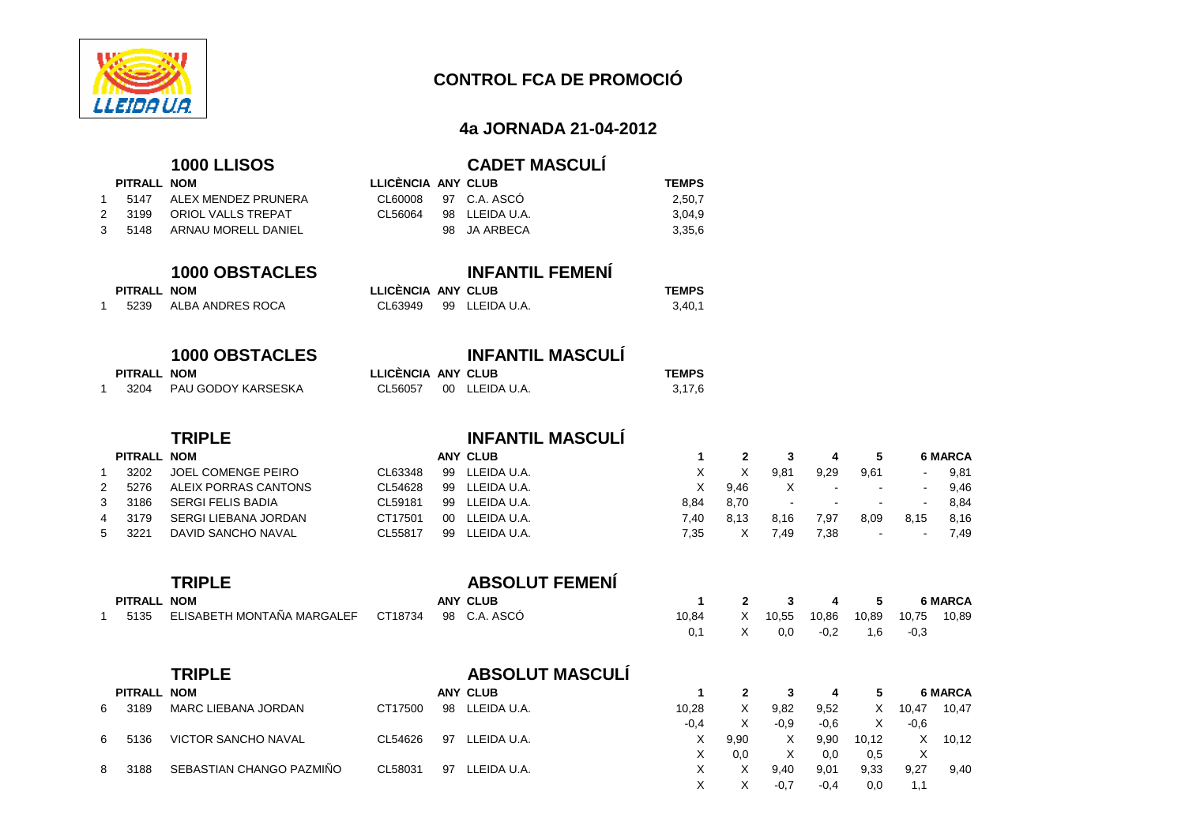

### **4a JORNADA 21-04-2012**

|   |                     | <b>1000 LLISOS</b>                          |                               |    | <b>CADET MASCULI</b>                   |                        |
|---|---------------------|---------------------------------------------|-------------------------------|----|----------------------------------------|------------------------|
|   | PITRALL NOM         |                                             | LLICÈNCIA ANY CLUB            |    |                                        | <b>TEMPS</b>           |
| 1 | 5147                | ALEX MENDEZ PRUNERA                         | CL60008                       |    | 97 C.A. ASCÓ                           | 2,50,7                 |
| 2 | 3199                | ORIOL VALLS TREPAT                          | CL56064                       | 98 | LLEIDA U.A.                            | 3,04,9                 |
| 3 | 5148                | ARNAU MORELL DANIEL                         |                               | 98 | <b>JA ARBECA</b>                       | 3,35,6                 |
| 1 | PITRALL NOM<br>5239 | <b>1000 OBSTACLES</b><br>ALBA ANDRES ROCA   | LLICÈNCIA ANY CLUB<br>CL63949 | 99 | <b>INFANTIL FEMENÍ</b><br>LLEIDA U.A.  | <b>TEMPS</b><br>3,40,1 |
| 1 | PITRALL NOM<br>3204 | <b>1000 OBSTACLES</b><br>PAU GODOY KARSESKA | LLICÈNCIA ANY CLUB<br>CL56057 | 00 | <b>INFANTIL MASCULÍ</b><br>LLEIDA U.A. | <b>TEMPS</b><br>3,17,6 |

# **1000 LLISOS CADET MASCULÍ**

| PITRALL NOM |                          | LLICÈNCIA ANY CLUB |                      | <b>TEMPS</b> |  |
|-------------|--------------------------|--------------------|----------------------|--------------|--|
|             | 5147 ALEX MENDEZ PRUNERA |                    | CL60008 97 C.A. ASCO | 2.50.7       |  |
| 2 3199      | ORIOL VALLS TREPAT       | CL 56064           | 98 LLEIDA U.A.       | 3.04.9       |  |
| 35148       | ARNAU MORELL DANIEL      |                    | 98 JA ARBECA         | 3.35.6       |  |

|                 | <b>INFANTIL FEMENI</b> |  |
|-----------------|------------------------|--|
| CÈNCIA ANY CLUB |                        |  |
| .               | --- --------           |  |

# **1000 OBSTACLES INFANTIL MASCULÍ**

| <b>PITRALL NOM</b> |                    | LLICENCIA ANY CLUB |                        | <b>TEMPS</b> |  |
|--------------------|--------------------|--------------------|------------------------|--------------|--|
| 3204               | PAU GODOY KARSESKA |                    | CL56057 00 LLEIDA U.A. | 3,17,6       |  |

|   |             | <b>TRIPLE</b>        |         |         | <b>INFANTIL MASCULI</b> |      |      |        |                          |                          |                          |                |
|---|-------------|----------------------|---------|---------|-------------------------|------|------|--------|--------------------------|--------------------------|--------------------------|----------------|
|   | PITRALL NOM |                      |         |         | ANY CLUB                |      |      |        |                          |                          |                          | <b>6 MARCA</b> |
|   | 3202        | JOEL COMENGE PEIRO   | CL63348 | 99      | LLEIDA U.A.             | х    |      | 9.81   | 9,29                     | 9,61                     | $\overline{\phantom{a}}$ | 9,81           |
|   | 5276        | ALEIX PORRAS CANTONS | CL54628 | 99      | LLEIDA U.A.             | x    | 9.46 |        |                          | $\overline{\phantom{a}}$ | $\sim$                   | 9.46           |
|   | 3186        | SERGI FELIS BADIA    | CL59181 | 99      | LLEIDA U.A.             | 8.84 | 8.70 | $\sim$ | $\overline{\phantom{a}}$ | $\sim$                   | $\sim$                   | 8.84           |
| 4 | 3179        | SERGI LIEBANA JORDAN | CT17501 | $00 \,$ | LLEIDA U.A.             | 7.40 | 8.13 | 8.16   | 7,97                     | 8,09                     | 8,15                     | 8,16           |
|   | 3221        | DAVID SANCHO NAVAL   | CL55817 | 99      | LLEIDA U.A.             | 7.35 |      | 7.49   | 7,38                     |                          | $\sim$                   | 7,49           |
|   |             |                      |         |         |                         |      |      |        |                          |                          |                          |                |

|             | <b>TRIPLE</b>                                   |  | <b>ABSOLUT FEMENI</b> |              |   |     |                             |       |                       |         |
|-------------|-------------------------------------------------|--|-----------------------|--------------|---|-----|-----------------------------|-------|-----------------------|---------|
| PITRALL NOM |                                                 |  | ANY CLUB              |              |   |     | 2 3 4 5                     |       |                       | 6 MARCA |
| 5135        | ELISABETH MONTAÑA MARGALEF CT18734 98 C.A. ASCÓ |  |                       | 10.84<br>0.1 | X | 0.0 | 10,55 10,86 10,89<br>$-0.2$ | - 1.6 | 10.75 10.89<br>$-0.3$ |         |

|    |             | <b>TRIPLE</b>              |         |    | <b>ABSOLUT MASCULI</b> |        |      |        |        |       |        |                |
|----|-------------|----------------------------|---------|----|------------------------|--------|------|--------|--------|-------|--------|----------------|
|    | PITRALL NOM |                            |         |    | <b>ANY CLUB</b>        |        |      |        | 4      | 5     |        | <b>6 MARCA</b> |
| 6. | 3189        | MARC LIEBANA JORDAN        | CT17500 | 98 | LLEIDA U.A.            | 10,28  | X    | 9,82   | 9,52   | X     | 10,47  | 10.47          |
|    |             |                            |         |    |                        | $-0.4$ | X    | $-0.9$ | $-0,6$ | X.    | $-0,6$ |                |
| 6. | 5136        | <b>VICTOR SANCHO NAVAL</b> | CL54626 | 97 | LLEIDA U.A.            | х      | 9.90 | X.     | 9,90   | 10.12 | X      | 10.12          |
|    |             |                            |         |    |                        | х      | 0.0  |        | 0.0    | 0,5   | X      |                |
|    | 3188        | SEBASTIAN CHANGO PAZMIÑO   | CL58031 | 97 | LLEIDA U.A.            | X      |      | 9,40   | 9,01   | 9,33  | 9.27   | 9.40           |
|    |             |                            |         |    |                        | X      |      | $-0.7$ | $-0,4$ | 0,0   | 1.1    |                |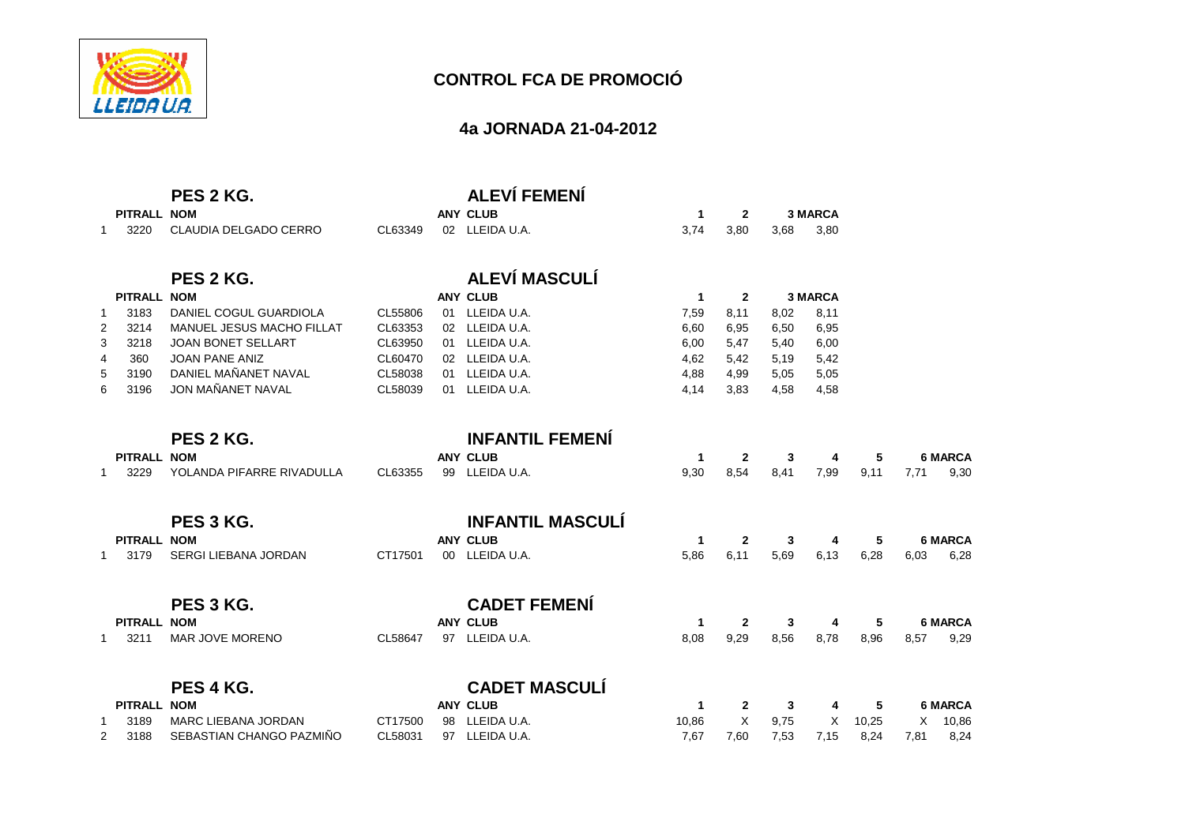

### **4a JORNADA 21-04-2012**

|              |             | PES 2 KG.                  |         |    | <b>ALEVÍ FEMENÍ</b>     |              |                |      |                |       |      |                |
|--------------|-------------|----------------------------|---------|----|-------------------------|--------------|----------------|------|----------------|-------|------|----------------|
|              | PITRALL NOM |                            |         |    | <b>ANY CLUB</b>         | 1            | $\overline{2}$ |      | <b>3 MARCA</b> |       |      |                |
| $\mathbf{1}$ | 3220        | CLAUDIA DELGADO CERRO      | CL63349 |    | 02 LLEIDA U.A.          | 3,74         | 3,80           | 3.68 | 3,80           |       |      |                |
|              |             | PES 2 KG.                  |         |    | <b>ALEVÍ MASCULÍ</b>    |              |                |      |                |       |      |                |
|              | PITRALL NOM |                            |         |    | <b>ANY CLUB</b>         | 1            | $\overline{2}$ |      | <b>3 MARCA</b> |       |      |                |
| $\mathbf{1}$ | 3183        | DANIEL COGUL GUARDIOLA     | CL55806 | 01 | LLEIDA U.A.             | 7,59         | 8,11           | 8,02 | 8,11           |       |      |                |
| 2            | 3214        | MANUEL JESUS MACHO FILLAT  | CL63353 |    | 02 LLEIDA U.A.          | 6,60         | 6,95           | 6,50 | 6,95           |       |      |                |
| 3            | 3218        | <b>JOAN BONET SELLART</b>  | CL63950 | 01 | LLEIDA U.A.             | 6,00         | 5,47           | 5,40 | 6,00           |       |      |                |
| 4            | 360         | <b>JOAN PANE ANIZ</b>      | CL60470 |    | 02 LLEIDA U.A.          | 4,62         | 5,42           | 5,19 | 5,42           |       |      |                |
| 5            | 3190        | DANIEL MAÑANET NAVAL       | CL58038 | 01 | LLEIDA U.A.             | 4,88         | 4,99           | 5,05 | 5,05           |       |      |                |
| 6            | 3196        | JON MAÑANET NAVAL          | CL58039 | 01 | LLEIDA U.A.             | 4,14         | 3,83           | 4,58 | 4,58           |       |      |                |
|              |             | PES 2 KG.                  |         |    | <b>INFANTIL FEMENÍ</b>  |              |                |      |                |       |      |                |
|              | PITRALL NOM |                            |         |    | <b>ANY CLUB</b>         | 1            | $\mathbf{2}$   | 3    | 4              | 5     |      | <b>6 MARCA</b> |
| -1           | 3229        | YOLANDA PIFARRE RIVADULLA  | CL63355 | 99 | LLEIDA U.A.             | 9,30         | 8,54           | 8,41 | 7,99           | 9,11  | 7,71 | 9,30           |
|              |             | PES 3 KG.                  |         |    | <b>INFANTIL MASCULI</b> |              |                |      |                |       |      |                |
|              | PITRALL NOM |                            |         |    | <b>ANY CLUB</b>         | $\mathbf{1}$ | $\mathbf{2}$   | 3    | 4              | 5     |      | <b>6 MARCA</b> |
| $\mathbf{1}$ | 3179        | SERGI LIEBANA JORDAN       | CT17501 |    | 00 LLEIDA U.A.          | 5,86         | 6,11           | 5,69 | 6,13           | 6,28  | 6,03 | 6,28           |
|              |             | PES 3 KG.                  |         |    | <b>CADET FEMENÍ</b>     |              |                |      |                |       |      |                |
|              | PITRALL NOM |                            |         |    | <b>ANY CLUB</b>         | 1            | $\mathbf{2}$   | 3    | 4              | 5     |      | <b>6 MARCA</b> |
| $\mathbf{1}$ | 3211        | MAR JOVE MORENO            | CL58647 |    | 97 LLEIDA U.A.          | 8,08         | 9,29           | 8,56 | 8,78           | 8,96  | 8,57 | 9,29           |
|              |             | PES 4 KG.                  |         |    | <b>CADET MASCULÍ</b>    |              |                |      |                |       |      |                |
|              |             |                            |         |    |                         |              |                |      |                |       |      |                |
|              | PITRALL NOM |                            |         |    | <b>ANY CLUB</b>         | 1            | $\mathbf{2}$   | 3    | 4              | 5     |      | <b>6 MARCA</b> |
| -1           | 3189        | <b>MARC LIEBANA JORDAN</b> | CT17500 | 98 | LLEIDA U.A.             | 10,86        | X              | 9,75 | Х              | 10,25 | X    | 10,86          |
| 2            | 3188        | SEBASTIAN CHANGO PAZMIÑO   | CL58031 | 97 | LLEIDA U.A.             | 7,67         | 7,60           | 7,53 | 7,15           | 8,24  | 7,81 | 8,24           |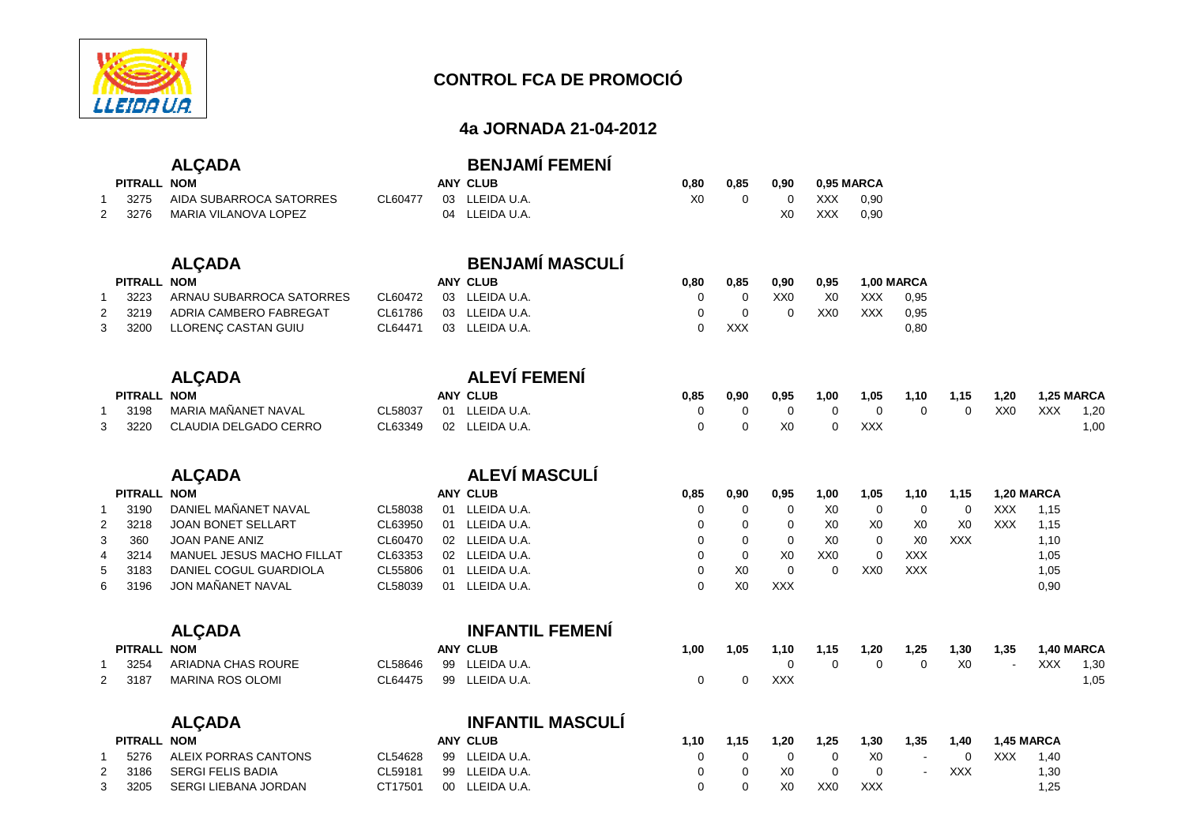

### **4a JORNADA 21-04-2012**

|                |                    | <b>ALÇADA</b>             |          |    | <b>BENJAMÍ FEMENÍ</b>   |                |                |                 |                 |                 |                |                |                 |                    |
|----------------|--------------------|---------------------------|----------|----|-------------------------|----------------|----------------|-----------------|-----------------|-----------------|----------------|----------------|-----------------|--------------------|
|                | PITRALL NOM        |                           |          |    | <b>ANY CLUB</b>         | 0,80           | 0,85           | 0,90            |                 | 0,95 MARCA      |                |                |                 |                    |
| $\mathbf{1}$   | 3275               | AIDA SUBARROCA SATORRES   | CL60477  | 03 | LLEIDA U.A.             | X <sub>0</sub> | $\mathbf 0$    | $\mathbf 0$     | <b>XXX</b>      | 0,90            |                |                |                 |                    |
| 2              | 3276               | MARIA VILANOVA LOPEZ      |          |    | 04 LLEIDA U.A.          |                |                | X <sub>0</sub>  | <b>XXX</b>      | 0,90            |                |                |                 |                    |
|                |                    | <b>ALÇADA</b>             |          |    | <b>BENJAMÍ MASCULÍ</b>  |                |                |                 |                 |                 |                |                |                 |                    |
|                | PITRALL NOM        |                           |          |    | <b>ANY CLUB</b>         | 0,80           | 0,85           | 0,90            | 0,95            |                 | 1,00 MARCA     |                |                 |                    |
| $\mathbf{1}$   | 3223               | ARNAU SUBARROCA SATORRES  | CL60472  |    | 03 LLEIDA U.A.          | $\Omega$       | $\mathbf 0$    | XX <sub>0</sub> | X <sub>0</sub>  | <b>XXX</b>      | 0,95           |                |                 |                    |
| 2              | 3219               | ADRIA CAMBERO FABREGAT    | CL61786  |    | 03 LLEIDA U.A.          | $\mathbf 0$    | $\mathbf 0$    | $\mathbf 0$     | XX <sub>0</sub> | <b>XXX</b>      | 0,95           |                |                 |                    |
| 3              | 3200               | LLORENÇ CASTAN GUIU       | CL64471  |    | 03 LLEIDA U.A.          | $\mathbf 0$    | XXX            |                 |                 |                 | 0,80           |                |                 |                    |
|                |                    | <b>ALÇADA</b>             |          |    | <b>ALEVÍ FEMENÍ</b>     |                |                |                 |                 |                 |                |                |                 |                    |
|                | PITRALL NOM        |                           |          |    | <b>ANY CLUB</b>         | 0,85           | 0,90           | 0,95            | 1,00            | 1,05            | 1,10           | 1,15           | 1,20            | 1,25 MARCA         |
| $\mathbf{1}$   | 3198               | MARIA MAÑANET NAVAL       | CL58037  |    | 01 LLEIDA U.A.          | 0              | 0              | 0               | $\mathbf 0$     | $\mathbf 0$     | $\mathbf 0$    | $\mathbf 0$    | XX <sub>0</sub> | <b>XXX</b><br>1,20 |
| 3              | 3220               | CLAUDIA DELGADO CERRO     | CL63349  |    | 02 LLEIDA U.A.          | 0              | $\mathbf 0$    | X <sub>0</sub>  | $\mathbf 0$     | <b>XXX</b>      |                |                |                 | 1,00               |
|                |                    | <b>ALÇADA</b>             |          |    | ALEVÍ MASCULÍ           |                |                |                 |                 |                 |                |                |                 |                    |
|                | <b>PITRALL NOM</b> |                           |          |    | <b>ANY CLUB</b>         | 0,85           | 0,90           | 0,95            | 1,00            | 1,05            | 1,10           | 1,15           |                 | 1,20 MARCA         |
| $\mathbf{1}$   | 3190               | DANIEL MAÑANET NAVAL      | CL58038  |    | 01 LLEIDA U.A.          | 0              | $\mathbf 0$    | 0               | X <sub>0</sub>  | $\mathbf 0$     | 0              | 0              | <b>XXX</b>      | 1,15               |
| $\overline{2}$ | 3218               | <b>JOAN BONET SELLART</b> | CL63950  |    | 01 LLEIDA U.A.          | 0              | 0              | 0               | X <sub>0</sub>  | X <sub>0</sub>  | X <sub>0</sub> | X <sub>0</sub> | <b>XXX</b>      | 1,15               |
| 3              | 360                | <b>JOAN PANE ANIZ</b>     | CL60470  |    | 02 LLEIDA U.A.          | 0              | $\mathbf 0$    | 0               | X <sub>0</sub>  | 0               | X <sub>0</sub> | <b>XXX</b>     |                 | 1,10               |
| 4              | 3214               | MANUEL JESUS MACHO FILLAT | CL63353  |    | 02 LLEIDA U.A.          | $\mathbf 0$    | $\pmb{0}$      | X <sub>0</sub>  | XX <sub>0</sub> | $\pmb{0}$       | <b>XXX</b>     |                |                 | 1,05               |
| 5              | 3183               | DANIEL COGUL GUARDIOLA    | CL55806  |    | 01 LLEIDA U.A.          | 0              | X <sub>0</sub> | $\mathbf 0$     | 0               | XX <sub>0</sub> | <b>XXX</b>     |                |                 | 1,05               |
| 6              | 3196               | JON MAÑANET NAVAL         | CL58039  |    | 01 LLEIDA U.A.          | $\Omega$       | X <sub>0</sub> | <b>XXX</b>      |                 |                 |                |                |                 | 0,90               |
|                |                    | <b>ALÇADA</b>             |          |    | <b>INFANTIL FEMENÍ</b>  |                |                |                 |                 |                 |                |                |                 |                    |
|                | PITRALL NOM        |                           |          |    | <b>ANY CLUB</b>         | 1,00           | 1,05           | 1,10            | 1,15            | 1,20            | 1,25           | 1,30           | 1,35            | 1,40 MARCA         |
| $\mathbf{1}$   | 3254               | ARIADNA CHAS ROURE        | CL58646  | 99 | LLEIDA U.A.             |                |                | 0               | $\mathbf 0$     | $\mathbf 0$     | $\mathbf 0$    | X <sub>0</sub> |                 | 1,30<br>XXX        |
| 2              | 3187               | MARINA ROS OLOMI          | CL64475  | 99 | LLEIDA U.A.             | 0              | $\mathbf 0$    | <b>XXX</b>      |                 |                 |                |                |                 | 1,05               |
|                |                    | <b>ALÇADA</b>             |          |    | <b>INFANTIL MASCULÍ</b> |                |                |                 |                 |                 |                |                |                 |                    |
|                | PITRALL NOM        |                           |          |    | <b>ANY CLUB</b>         | 1,10           | 1,15           | 1,20            | 1,25            | 1,30            | 1,35           | 1,40           |                 | 1,45 MARCA         |
|                | 5276               | ALFIX PORRAS CANTONS      | CI 54628 |    | $99$ II FIDA U.A.       | $\Omega$       | $\overline{0}$ | $\Omega$        | $\Omega$        | X <sub>0</sub>  |                | $\Omega$       |                 | $XXX = 1.40$       |

 $\begin{array}{c} 1,20 \\ 1,00 \end{array}$ 

 $1,05$ 

| ויו ווער בבתיוון |                      |         | <b>AU VLVP</b> | . | . | . . <i>.</i>   | . <i>.</i>      |     |        | .   | השוחותו טדו |       |
|------------------|----------------------|---------|----------------|---|---|----------------|-----------------|-----|--------|-----|-------------|-------|
| 5276             | ALEIX PORRAS CANTONS | CL54628 | 99 LLEIDA U.A. |   |   |                |                 | X0  | $\sim$ |     | XXX         | 1.40  |
| 3186             | SERGI FELIS BADIA    | CL59181 | 99 LLEIDA U.A. |   |   | X <sub>0</sub> |                 |     |        | XXX |             | 30, ا |
| 3205             | SERGI LIEBANA JORDAN | CT17501 | 00 LLEIDA U.A. |   |   | X <sub>0</sub> | XX <sub>0</sub> | XXX |        |     |             | 1.25  |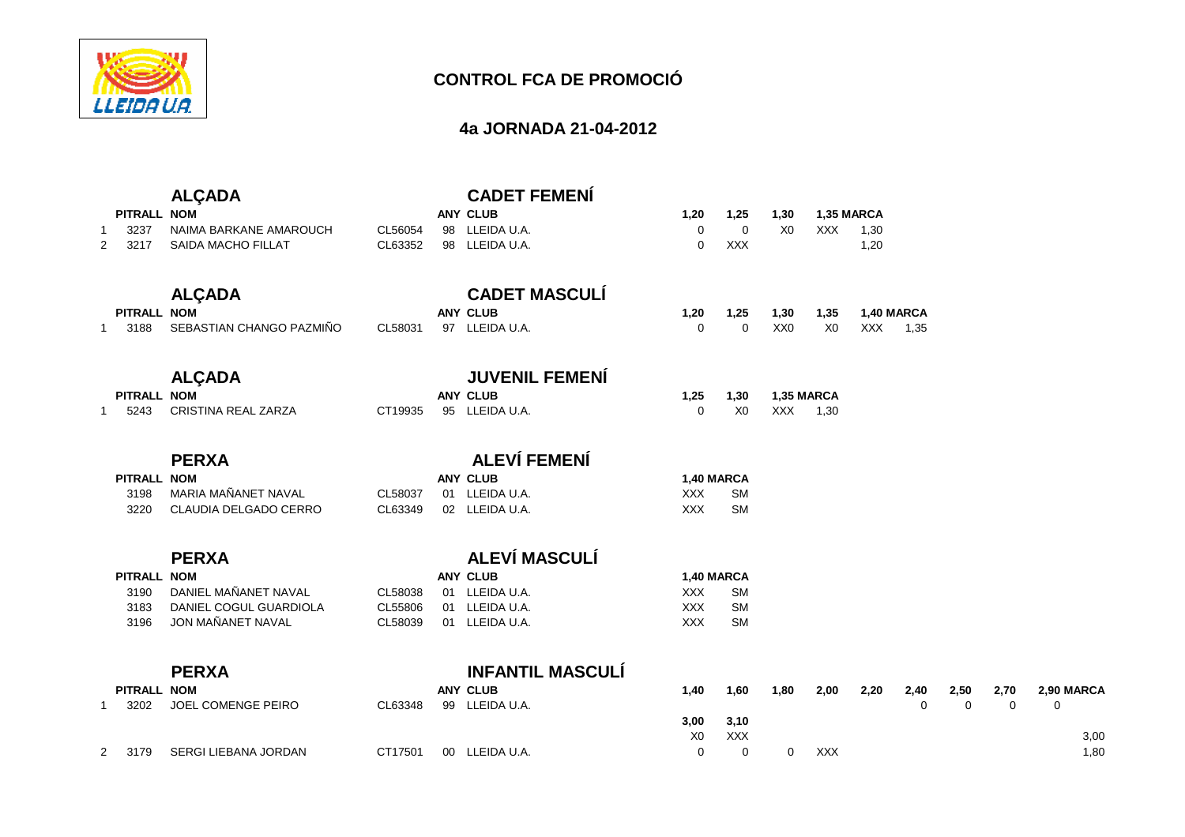

### **4a JORNADA 21-04-2012**

|   |                    | <b>ALÇADA</b>             |         | <b>CADET FEMENÍ</b>     |                |                |                 |                |      |             |             |      |            |
|---|--------------------|---------------------------|---------|-------------------------|----------------|----------------|-----------------|----------------|------|-------------|-------------|------|------------|
|   | PITRALL NOM        |                           |         | <b>ANY CLUB</b>         | 1,20           | 1,25           | 1,30            | 1,35 MARCA     |      |             |             |      |            |
|   | 3237               | NAIMA BARKANE AMAROUCH    | CL56054 | 98 LLEIDA U.A.          | $\mathbf 0$    | $\mathbf 0$    | X <sub>0</sub>  | <b>XXX</b>     | 1,30 |             |             |      |            |
| 2 | 3217               | <b>SAIDA MACHO FILLAT</b> | CL63352 | 98 LLEIDA U.A.          | $\Omega$       | <b>XXX</b>     |                 |                | 1,20 |             |             |      |            |
|   |                    | <b>ALÇADA</b>             |         | <b>CADET MASCULÍ</b>    |                |                |                 |                |      |             |             |      |            |
|   | PITRALL NOM        |                           |         | <b>ANY CLUB</b>         | 1,20           | 1,25           | 1,30            | 1,35           |      | 1,40 MARCA  |             |      |            |
|   | 3188               | SEBASTIAN CHANGO PAZMIÑO  | CL58031 | 97 LLEIDA U.A.          | $\Omega$       | $\mathbf 0$    | XX <sub>0</sub> | X <sub>0</sub> | XXX  | 1,35        |             |      |            |
|   |                    | <b>ALÇADA</b>             |         | <b>JUVENIL FEMENÍ</b>   |                |                |                 |                |      |             |             |      |            |
|   | PITRALL NOM        |                           |         | <b>ANY CLUB</b>         | 1,25           | 1,30           |                 | 1,35 MARCA     |      |             |             |      |            |
|   | 5243               | CRISTINA REAL ZARZA       | CT19935 | 95 LLEIDA U.A.          | $\Omega$       | X <sub>0</sub> | <b>XXX</b>      | 1,30           |      |             |             |      |            |
|   |                    | <b>PERXA</b>              |         | <b>ALEVÍ FEMENÍ</b>     |                |                |                 |                |      |             |             |      |            |
|   | <b>PITRALL NOM</b> |                           |         | <b>ANY CLUB</b>         |                | 1,40 MARCA     |                 |                |      |             |             |      |            |
|   | 3198               | MARIA MAÑANET NAVAL       | CL58037 | 01 LLEIDA U.A.          | <b>XXX</b>     | <b>SM</b>      |                 |                |      |             |             |      |            |
|   | 3220               | CLAUDIA DELGADO CERRO     | CL63349 | 02 LLEIDA U.A.          | <b>XXX</b>     | <b>SM</b>      |                 |                |      |             |             |      |            |
|   |                    | <b>PERXA</b>              |         | ALEVÍ MASCULÍ           |                |                |                 |                |      |             |             |      |            |
|   | PITRALL NOM        |                           |         | <b>ANY CLUB</b>         |                | 1,40 MARCA     |                 |                |      |             |             |      |            |
|   | 3190               | DANIEL MAÑANET NAVAL      | CL58038 | 01 LLEIDA U.A.          | <b>XXX</b>     | <b>SM</b>      |                 |                |      |             |             |      |            |
|   | 3183               | DANIEL COGUL GUARDIOLA    | CL55806 | 01 LLEIDA U.A.          | <b>XXX</b>     | <b>SM</b>      |                 |                |      |             |             |      |            |
|   | 3196               | JON MAÑANET NAVAL         | CL58039 | 01 LLEIDA U.A.          | <b>XXX</b>     | <b>SM</b>      |                 |                |      |             |             |      |            |
|   |                    | <b>PERXA</b>              |         | <b>INFANTIL MASCULÍ</b> |                |                |                 |                |      |             |             |      |            |
|   | <b>PITRALL NOM</b> |                           |         | <b>ANY CLUB</b>         | 1,40           | 1,60           | 1,80            | 2,00           | 2,20 | 2,40        | 2,50        | 2,70 | 2,90 MARCA |
|   | 3202               | JOEL COMENGE PEIRO        | CL63348 | 99 LLEIDA U.A.          |                |                |                 |                |      | $\mathbf 0$ | $\mathbf 0$ | 0    | 0          |
|   |                    |                           |         |                         | 3,00           | 3,10           |                 |                |      |             |             |      |            |
|   |                    |                           |         |                         | X <sub>0</sub> | <b>XXX</b>     |                 |                |      |             |             |      | 3,00       |
| 2 | 3179               | SERGI LIEBANA JORDAN      | CT17501 | 00 LLEIDA U.A.          | 0              | $\mathbf 0$    | 0               | <b>XXX</b>     |      |             |             |      | 1,80       |